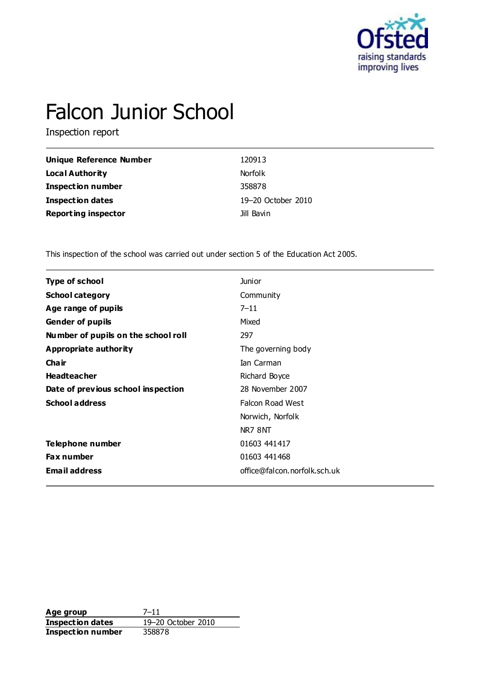

# Falcon Junior School

Inspection report

| Unique Reference Number    | 120913             |
|----------------------------|--------------------|
| Local Authority            | <b>Norfolk</b>     |
| <b>Inspection number</b>   | 358878             |
| Inspection dates           | 19-20 October 2010 |
| <b>Reporting inspector</b> | Jill Bavin         |

This inspection of the school was carried out under section 5 of the Education Act 2005.

| <b>Type of school</b>               | <b>Junior</b>                |  |
|-------------------------------------|------------------------------|--|
| <b>School category</b>              | Community                    |  |
| Age range of pupils                 | $7 - 11$                     |  |
| <b>Gender of pupils</b>             | Mixed                        |  |
| Number of pupils on the school roll | 297                          |  |
| Appropriate authority               | The governing body           |  |
| Cha ir                              | Ian Carman                   |  |
| <b>Headteacher</b>                  | Richard Boyce                |  |
| Date of previous school inspection  | 28 November 2007             |  |
| <b>School address</b>               | <b>Falcon Road West</b>      |  |
|                                     | Norwich, Norfolk             |  |
|                                     | NR7 8NT                      |  |
| Telephone number                    | 01603 441417                 |  |
| <b>Fax number</b>                   | 01603 441468                 |  |
| <b>Email address</b>                | office@falcon.norfolk.sch.uk |  |
|                                     |                              |  |

**Age group** 7-11<br> **Inspection dates** 19-20 October 2010 **Inspection dates** 19–20 October 2010 **Inspection number** 358878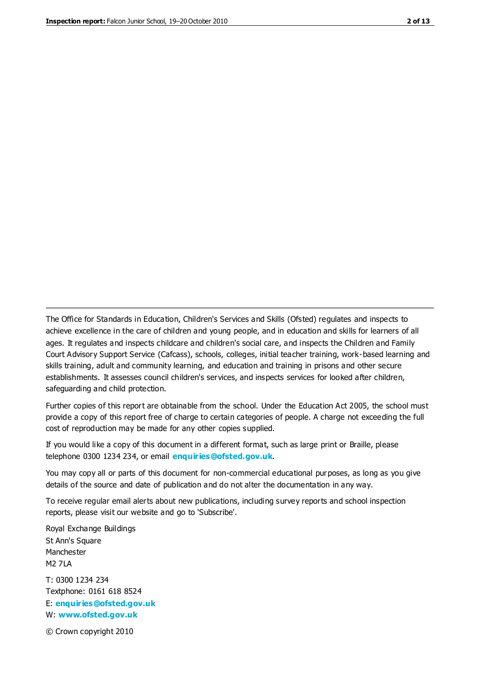The Office for Standards in Education, Children's Services and Skills (Ofsted) regulates and inspects to achieve excellence in the care of children and young people, and in education and skills for learners of all ages. It regulates and inspects childcare and children's social care, and inspects the Children and Family Court Advisory Support Service (Cafcass), schools, colleges, initial teacher training, work-based learning and skills training, adult and community learning, and education and training in prisons and other secure establishments. It assesses council children's services, and inspects services for looked after children, safeguarding and child protection.

Further copies of this report are obtainable from the school. Under the Education Act 2005, the school must provide a copy of this report free of charge to certain categories of people. A charge not exceeding the full cost of reproduction may be made for any other copies supplied.

If you would like a copy of this document in a different format, such as large print or Braille, please telephone 0300 1234 234, or email **[enquiries@ofsted.gov.uk](mailto:enquiries@ofsted.gov.uk)**.

You may copy all or parts of this document for non-commercial educational purposes, as long as you give details of the source and date of publication and do not alter the documentation in any way.

To receive regular email alerts about new publications, including survey reports and school inspection reports, please visit our website and go to 'Subscribe'.

Royal Exchange Buildings St Ann's Square Manchester M2 7LA T: 0300 1234 234 Textphone: 0161 618 8524 E: **[enquiries@ofsted.gov.uk](mailto:enquiries@ofsted.gov.uk)**

W: **[www.ofsted.gov.uk](http://www.ofsted.gov.uk/)**

© Crown copyright 2010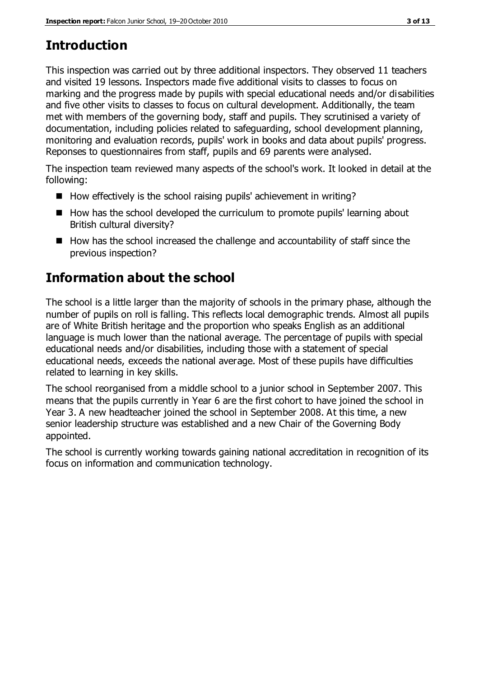# **Introduction**

This inspection was carried out by three additional inspectors. They observed 11 teachers and visited 19 lessons. Inspectors made five additional visits to classes to focus on marking and the progress made by pupils with special educational needs and/or disabilities and five other visits to classes to focus on cultural development. Additionally, the team met with members of the governing body, staff and pupils. They scrutinised a variety of documentation, including policies related to safeguarding, school development planning, monitoring and evaluation records, pupils' work in books and data about pupils' progress. Reponses to questionnaires from staff, pupils and 69 parents were analysed.

The inspection team reviewed many aspects of the school's work. It looked in detail at the following:

- $\blacksquare$  How effectively is the school raising pupils' achievement in writing?
- How has the school developed the curriculum to promote pupils' learning about British cultural diversity?
- $\blacksquare$  How has the school increased the challenge and accountability of staff since the previous inspection?

# **Information about the school**

The school is a little larger than the majority of schools in the primary phase, although the number of pupils on roll is falling. This reflects local demographic trends. Almost all pupils are of White British heritage and the proportion who speaks English as an additional language is much lower than the national average. The percentage of pupils with special educational needs and/or disabilities, including those with a statement of special educational needs, exceeds the national average. Most of these pupils have difficulties related to learning in key skills.

The school reorganised from a middle school to a junior school in September 2007. This means that the pupils currently in Year 6 are the first cohort to have joined the school in Year 3. A new headteacher joined the school in September 2008. At this time, a new senior leadership structure was established and a new Chair of the Governing Body appointed.

The school is currently working towards gaining national accreditation in recognition of its focus on information and communication technology.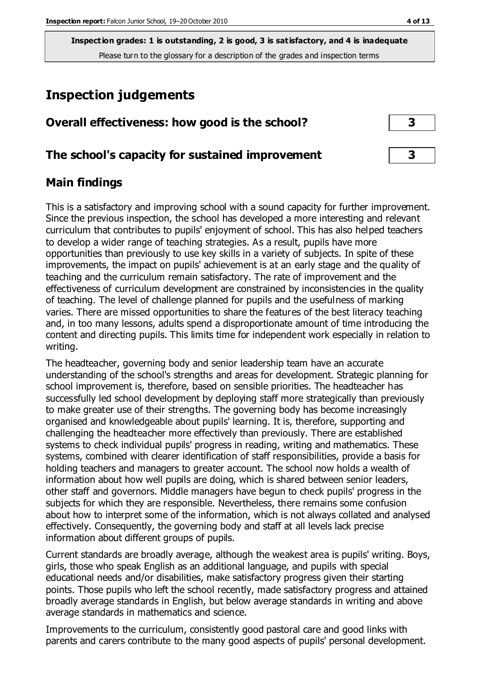# **Inspection judgements**

| Overall effectiveness: how good is the school?  |  |
|-------------------------------------------------|--|
| The school's capacity for sustained improvement |  |

#### **Main findings**

This is a satisfactory and improving school with a sound capacity for further improvement. Since the previous inspection, the school has developed a more interesting and relevant curriculum that contributes to pupils' enjoyment of school. This has also helped teachers to develop a wider range of teaching strategies. As a result, pupils have more opportunities than previously to use key skills in a variety of subjects. In spite of these improvements, the impact on pupils' achievement is at an early stage and the quality of teaching and the curriculum remain satisfactory. The rate of improvement and the effectiveness of curriculum development are constrained by inconsistencies in the quality of teaching. The level of challenge planned for pupils and the usefulness of marking varies. There are missed opportunities to share the features of the best literacy teaching and, in too many lessons, adults spend a disproportionate amount of time introducing the content and directing pupils. This limits time for independent work especially in relation to writing.

The headteacher, governing body and senior leadership team have an accurate understanding of the school's strengths and areas for development. Strategic planning for school improvement is, therefore, based on sensible priorities. The headteacher has successfully led school development by deploying staff more strategically than previously to make greater use of their strengths. The governing body has become increasingly organised and knowledgeable about pupils' learning. It is, therefore, supporting and challenging the headteacher more effectively than previously. There are established systems to check individual pupils' progress in reading, writing and mathematics. These systems, combined with clearer identification of staff responsibilities, provide a basis for holding teachers and managers to greater account. The school now holds a wealth of information about how well pupils are doing, which is shared between senior leaders, other staff and governors. Middle managers have begun to check pupils' progress in the subjects for which they are responsible. Nevertheless, there remains some confusion about how to interpret some of the information, which is not always collated and analysed effectively. Consequently, the governing body and staff at all levels lack precise information about different groups of pupils.

Current standards are broadly average, although the weakest area is pupils' writing. Boys, girls, those who speak English as an additional language, and pupils with special educational needs and/or disabilities, make satisfactory progress given their starting points. Those pupils who left the school recently, made satisfactory progress and attained broadly average standards in English, but below average standards in writing and above average standards in mathematics and science.

Improvements to the curriculum, consistently good pastoral care and good links with parents and carers contribute to the many good aspects of pupils' personal development.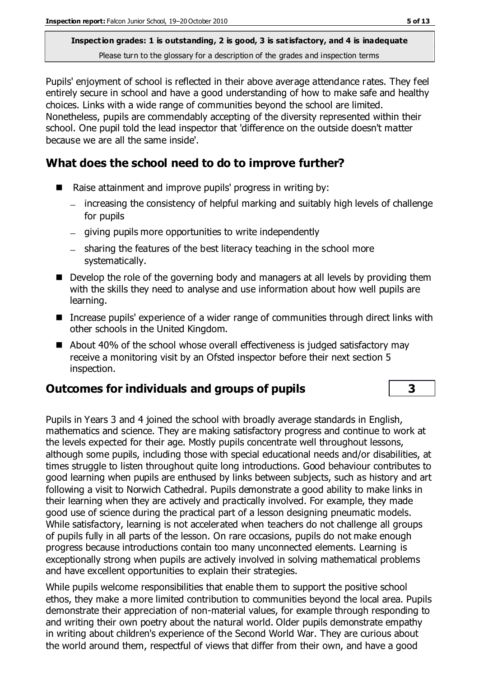Pupils' enjoyment of school is reflected in their above average attendance rates. They feel entirely secure in school and have a good understanding of how to make safe and healthy choices. Links with a wide range of communities beyond the school are limited. Nonetheless, pupils are commendably accepting of the diversity represented within their school. One pupil told the lead inspector that 'difference on the outside doesn't matter because we are all the same inside'.

## **What does the school need to do to improve further?**

- Raise attainment and improve pupils' progress in writing by:
	- increasing the consistency of helpful marking and suitably high levels of challenge for pupils
	- giving pupils more opportunities to write independently
	- $-$  sharing the features of the best literacy teaching in the school more systematically.
- Develop the role of the governing body and managers at all levels by providing them with the skills they need to analyse and use information about how well pupils are learning.
- Increase pupils' experience of a wider range of communities through direct links with other schools in the United Kingdom.
- About 40% of the school whose overall effectiveness is judged satisfactory may receive a monitoring visit by an Ofsted inspector before their next section 5 inspection.

#### **Outcomes for individuals and groups of pupils 3**

Pupils in Years 3 and 4 joined the school with broadly average standards in English, mathematics and science. They are making satisfactory progress and continue to work at the levels expected for their age. Mostly pupils concentrate well throughout lessons, although some pupils, including those with special educational needs and/or disabilities, at times struggle to listen throughout quite long introductions. Good behaviour contributes to good learning when pupils are enthused by links between subjects, such as history and art following a visit to Norwich Cathedral. Pupils demonstrate a good ability to make links in their learning when they are actively and practically involved. For example, they made good use of science during the practical part of a lesson designing pneumatic models. While satisfactory, learning is not accelerated when teachers do not challenge all groups of pupils fully in all parts of the lesson. On rare occasions, pupils do not make enough progress because introductions contain too many unconnected elements. Learning is exceptionally strong when pupils are actively involved in solving mathematical problems and have excellent opportunities to explain their strategies.

While pupils welcome responsibilities that enable them to support the positive school ethos, they make a more limited contribution to communities beyond the local area. Pupils demonstrate their appreciation of non-material values, for example through responding to and writing their own poetry about the natural world. Older pupils demonstrate empathy in writing about children's experience of the Second World War. They are curious about the world around them, respectful of views that differ from their own, and have a good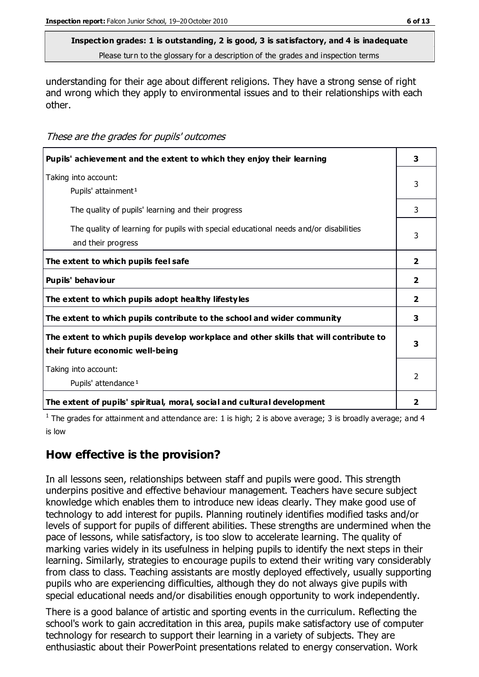understanding for their age about different religions. They have a strong sense of right and wrong which they apply to environmental issues and to their relationships with each other.

These are the grades for pupils' outcomes

| Pupils' achievement and the extent to which they enjoy their learning                                                     | 3              |
|---------------------------------------------------------------------------------------------------------------------------|----------------|
| Taking into account:<br>Pupils' attainment <sup>1</sup>                                                                   | 3              |
| The quality of pupils' learning and their progress                                                                        | 3              |
| The quality of learning for pupils with special educational needs and/or disabilities<br>and their progress               | 3              |
| The extent to which pupils feel safe                                                                                      | $\overline{2}$ |
| Pupils' behaviour                                                                                                         | $\mathbf{2}$   |
| The extent to which pupils adopt healthy lifestyles                                                                       | $\overline{2}$ |
| The extent to which pupils contribute to the school and wider community                                                   | 3              |
| The extent to which pupils develop workplace and other skills that will contribute to<br>their future economic well-being | 3              |
| Taking into account:<br>Pupils' attendance <sup>1</sup>                                                                   | $\mathcal{P}$  |
| The extent of pupils' spiritual, moral, social and cultural development                                                   | 2              |

<sup>1</sup> The grades for attainment and attendance are: 1 is high; 2 is above average; 3 is broadly average; and 4 is low

#### **How effective is the provision?**

In all lessons seen, relationships between staff and pupils were good. This strength underpins positive and effective behaviour management. Teachers have secure subject knowledge which enables them to introduce new ideas clearly. They make good use of technology to add interest for pupils. Planning routinely identifies modified tasks and/or levels of support for pupils of different abilities. These strengths are undermined when the pace of lessons, while satisfactory, is too slow to accelerate learning. The quality of marking varies widely in its usefulness in helping pupils to identify the next steps in their learning. Similarly, strategies to encourage pupils to extend their writing vary considerably from class to class. Teaching assistants are mostly deployed effectively, usually supporting pupils who are experiencing difficulties, although they do not always give pupils with special educational needs and/or disabilities enough opportunity to work independently.

There is a good balance of artistic and sporting events in the curriculum. Reflecting the school's work to gain accreditation in this area, pupils make satisfactory use of computer technology for research to support their learning in a variety of subjects. They are enthusiastic about their PowerPoint presentations related to energy conservation. Work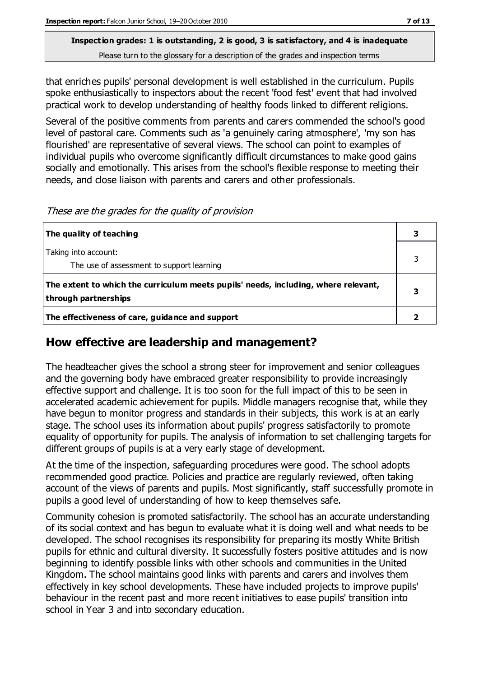that enriches pupils' personal development is well established in the curriculum. Pupils spoke enthusiastically to inspectors about the recent 'food fest' event that had involved practical work to develop understanding of healthy foods linked to different religions.

Several of the positive comments from parents and carers commended the school's good level of pastoral care. Comments such as 'a genuinely caring atmosphere', 'my son has flourished' are representative of several views. The school can point to examples of individual pupils who overcome significantly difficult circumstances to make good gains socially and emotionally. This arises from the school's flexible response to meeting their needs, and close liaison with parents and carers and other professionals.

| The quality of teaching                                                                                    |  |
|------------------------------------------------------------------------------------------------------------|--|
| Taking into account:<br>The use of assessment to support learning                                          |  |
| The extent to which the curriculum meets pupils' needs, including, where relevant,<br>through partnerships |  |
| The effectiveness of care, guidance and support                                                            |  |

These are the grades for the quality of provision

### **How effective are leadership and management?**

The headteacher gives the school a strong steer for improvement and senior colleagues and the governing body have embraced greater responsibility to provide increasingly effective support and challenge. It is too soon for the full impact of this to be seen in accelerated academic achievement for pupils. Middle managers recognise that, while they have begun to monitor progress and standards in their subjects, this work is at an early stage. The school uses its information about pupils' progress satisfactorily to promote equality of opportunity for pupils. The analysis of information to set challenging targets for different groups of pupils is at a very early stage of development.

At the time of the inspection, safeguarding procedures were good. The school adopts recommended good practice. Policies and practice are regularly reviewed, often taking account of the views of parents and pupils. Most significantly, staff successfully promote in pupils a good level of understanding of how to keep themselves safe.

Community cohesion is promoted satisfactorily. The school has an accurate understanding of its social context and has begun to evaluate what it is doing well and what needs to be developed. The school recognises its responsibility for preparing its mostly White British pupils for ethnic and cultural diversity. It successfully fosters positive attitudes and is now beginning to identify possible links with other schools and communities in the United Kingdom. The school maintains good links with parents and carers and involves them effectively in key school developments. These have included projects to improve pupils' behaviour in the recent past and more recent initiatives to ease pupils' transition into school in Year 3 and into secondary education.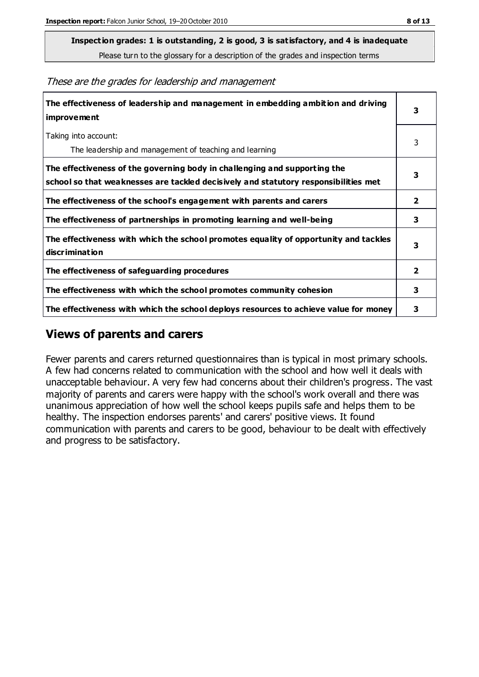**Inspection grades: 1 is outstanding, 2 is good, 3 is satisfactory, and 4 is inadequate**

Please turn to the glossary for a description of the grades and inspection terms

These are the grades for leadership and management

| The effectiveness of leadership and management in embedding ambition and driving<br><b>improvement</b>                                                           | 3            |
|------------------------------------------------------------------------------------------------------------------------------------------------------------------|--------------|
| Taking into account:<br>The leadership and management of teaching and learning                                                                                   | 3            |
| The effectiveness of the governing body in challenging and supporting the<br>school so that weaknesses are tackled decisively and statutory responsibilities met | 3            |
| The effectiveness of the school's engagement with parents and carers                                                                                             | 2            |
| The effectiveness of partnerships in promoting learning and well-being                                                                                           | 3            |
| The effectiveness with which the school promotes equality of opportunity and tackles<br>discrimination                                                           | 3            |
| The effectiveness of safeguarding procedures                                                                                                                     | $\mathbf{2}$ |
| The effectiveness with which the school promotes community cohesion                                                                                              | 3            |
| The effectiveness with which the school deploys resources to achieve value for money                                                                             | 3            |

#### **Views of parents and carers**

Fewer parents and carers returned questionnaires than is typical in most primary schools. A few had concerns related to communication with the school and how well it deals with unacceptable behaviour. A very few had concerns about their children's progress. The vast majority of parents and carers were happy with the school's work overall and there was unanimous appreciation of how well the school keeps pupils safe and helps them to be healthy. The inspection endorses parents' and carers' positive views. It found communication with parents and carers to be good, behaviour to be dealt with effectively and progress to be satisfactory.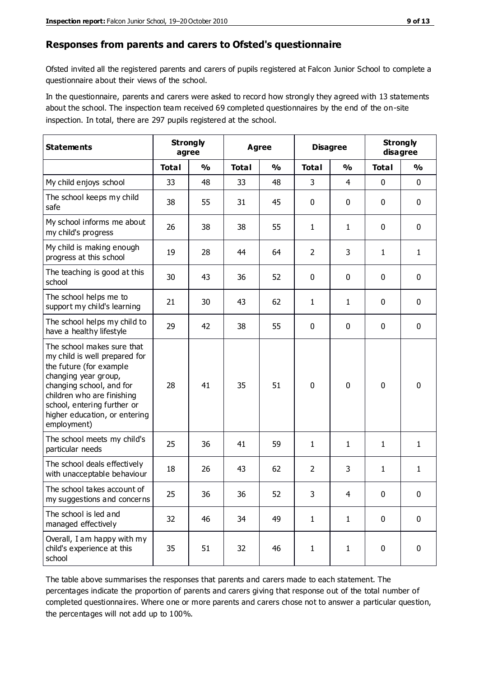#### **Responses from parents and carers to Ofsted's questionnaire**

Ofsted invited all the registered parents and carers of pupils registered at Falcon Junior School to complete a questionnaire about their views of the school.

In the questionnaire, parents and carers were asked to record how strongly they agreed with 13 statements about the school. The inspection team received 69 completed questionnaires by the end of the on-site inspection. In total, there are 297 pupils registered at the school.

| <b>Statements</b>                                                                                                                                                                                                                                       | agree        | <b>Strongly</b> | Agree        |               | <b>Disagree</b> |                | <b>Strongly</b><br>disagree |               |
|---------------------------------------------------------------------------------------------------------------------------------------------------------------------------------------------------------------------------------------------------------|--------------|-----------------|--------------|---------------|-----------------|----------------|-----------------------------|---------------|
|                                                                                                                                                                                                                                                         | <b>Total</b> | $\frac{0}{0}$   | <b>Total</b> | $\frac{0}{0}$ | <b>Total</b>    | $\frac{0}{0}$  | <b>Total</b>                | $\frac{0}{0}$ |
| My child enjoys school                                                                                                                                                                                                                                  | 33           | 48              | 33           | 48            | 3               | $\overline{4}$ | $\mathbf 0$                 | $\mathbf 0$   |
| The school keeps my child<br>safe                                                                                                                                                                                                                       | 38           | 55              | 31           | 45            | 0               | 0              | 0                           | $\mathbf 0$   |
| My school informs me about<br>my child's progress                                                                                                                                                                                                       | 26           | 38              | 38           | 55            | $\mathbf{1}$    | $\mathbf{1}$   | $\mathbf 0$                 | 0             |
| My child is making enough<br>progress at this school                                                                                                                                                                                                    | 19           | 28              | 44           | 64            | $\overline{2}$  | 3              | 1                           | 1             |
| The teaching is good at this<br>school                                                                                                                                                                                                                  | 30           | 43              | 36           | 52            | 0               | 0              | 0                           | $\mathbf 0$   |
| The school helps me to<br>support my child's learning                                                                                                                                                                                                   | 21           | 30              | 43           | 62            | 1               | $\mathbf{1}$   | $\mathbf 0$                 | $\mathbf 0$   |
| The school helps my child to<br>have a healthy lifestyle                                                                                                                                                                                                | 29           | 42              | 38           | 55            | 0               | $\mathbf 0$    | $\mathbf 0$                 | $\mathbf 0$   |
| The school makes sure that<br>my child is well prepared for<br>the future (for example<br>changing year group,<br>changing school, and for<br>children who are finishing<br>school, entering further or<br>higher education, or entering<br>employment) | 28           | 41              | 35           | 51            | $\mathbf 0$     | $\mathbf{0}$   | $\mathbf 0$                 | $\mathbf 0$   |
| The school meets my child's<br>particular needs                                                                                                                                                                                                         | 25           | 36              | 41           | 59            | 1               | $\mathbf{1}$   | $\mathbf{1}$                | 1             |
| The school deals effectively<br>with unacceptable behaviour                                                                                                                                                                                             | 18           | 26              | 43           | 62            | $\overline{2}$  | 3              | 1                           | $\mathbf{1}$  |
| The school takes account of<br>my suggestions and concerns                                                                                                                                                                                              | 25           | 36              | 36           | 52            | 3               | 4              | 0                           | 0             |
| The school is led and<br>managed effectively                                                                                                                                                                                                            | 32           | 46              | 34           | 49            | $\mathbf{1}$    | $\mathbf{1}$   | $\mathbf 0$                 | $\mathbf 0$   |
| Overall, I am happy with my<br>child's experience at this<br>school                                                                                                                                                                                     | 35           | 51              | 32           | 46            | $\mathbf{1}$    | $\mathbf{1}$   | $\mathbf 0$                 | $\mathbf 0$   |

The table above summarises the responses that parents and carers made to each statement. The percentages indicate the proportion of parents and carers giving that response out of the total number of completed questionnaires. Where one or more parents and carers chose not to answer a particular question, the percentages will not add up to 100%.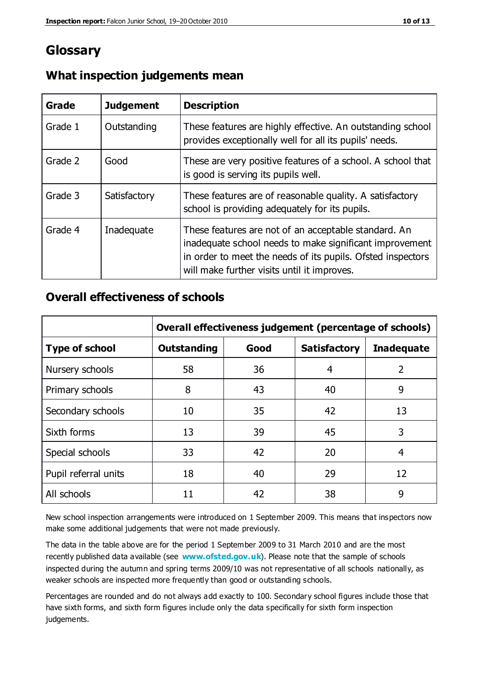# **Glossary**

| Grade   | <b>Judgement</b> | <b>Description</b>                                                                                                                                                                                                            |
|---------|------------------|-------------------------------------------------------------------------------------------------------------------------------------------------------------------------------------------------------------------------------|
| Grade 1 | Outstanding      | These features are highly effective. An outstanding school<br>provides exceptionally well for all its pupils' needs.                                                                                                          |
| Grade 2 | Good             | These are very positive features of a school. A school that<br>is good is serving its pupils well.                                                                                                                            |
| Grade 3 | Satisfactory     | These features are of reasonable quality. A satisfactory<br>school is providing adequately for its pupils.                                                                                                                    |
| Grade 4 | Inadequate       | These features are not of an acceptable standard. An<br>inadequate school needs to make significant improvement<br>in order to meet the needs of its pupils. Ofsted inspectors<br>will make further visits until it improves. |

#### **What inspection judgements mean**

#### **Overall effectiveness of schools**

|                       | Overall effectiveness judgement (percentage of schools) |      |                     |                   |
|-----------------------|---------------------------------------------------------|------|---------------------|-------------------|
| <b>Type of school</b> | <b>Outstanding</b>                                      | Good | <b>Satisfactory</b> | <b>Inadequate</b> |
| Nursery schools       | 58                                                      | 36   | 4                   | 2                 |
| Primary schools       | 8                                                       | 43   | 40                  | 9                 |
| Secondary schools     | 10                                                      | 35   | 42                  | 13                |
| Sixth forms           | 13                                                      | 39   | 45                  | 3                 |
| Special schools       | 33                                                      | 42   | 20                  | 4                 |
| Pupil referral units  | 18                                                      | 40   | 29                  | 12                |
| All schools           | 11                                                      | 42   | 38                  | 9                 |

New school inspection arrangements were introduced on 1 September 2009. This means that inspectors now make some additional judgements that were not made previously.

The data in the table above are for the period 1 September 2009 to 31 March 2010 and are the most recently published data available (see **[www.ofsted.gov.uk](http://www.ofsted.gov.uk/)**). Please note that the sample of schools inspected during the autumn and spring terms 2009/10 was not representative of all schools nationally, as weaker schools are inspected more frequently than good or outstanding schools.

Percentages are rounded and do not always add exactly to 100. Secondary school figures include those that have sixth forms, and sixth form figures include only the data specifically for sixth form inspection judgements.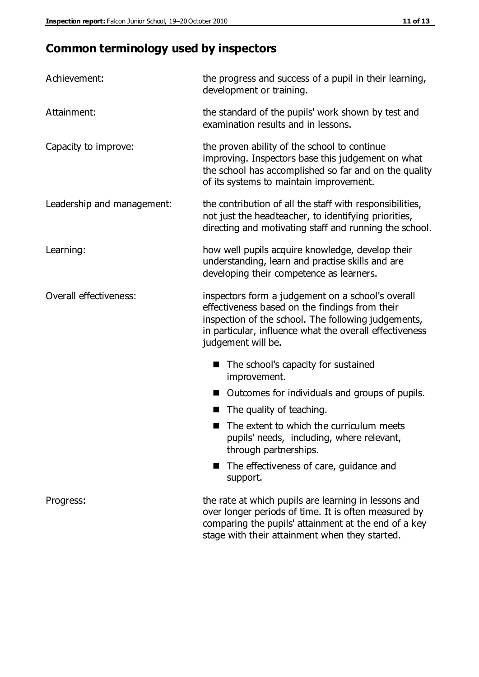# **Common terminology used by inspectors**

| Achievement:               | the progress and success of a pupil in their learning,<br>development or training.                                                                                                                                                          |  |  |
|----------------------------|---------------------------------------------------------------------------------------------------------------------------------------------------------------------------------------------------------------------------------------------|--|--|
| Attainment:                | the standard of the pupils' work shown by test and<br>examination results and in lessons.                                                                                                                                                   |  |  |
| Capacity to improve:       | the proven ability of the school to continue<br>improving. Inspectors base this judgement on what<br>the school has accomplished so far and on the quality<br>of its systems to maintain improvement.                                       |  |  |
| Leadership and management: | the contribution of all the staff with responsibilities,<br>not just the headteacher, to identifying priorities,<br>directing and motivating staff and running the school.                                                                  |  |  |
| Learning:                  | how well pupils acquire knowledge, develop their<br>understanding, learn and practise skills and are<br>developing their competence as learners.                                                                                            |  |  |
| Overall effectiveness:     | inspectors form a judgement on a school's overall<br>effectiveness based on the findings from their<br>inspection of the school. The following judgements,<br>in particular, influence what the overall effectiveness<br>judgement will be. |  |  |
|                            | The school's capacity for sustained<br>improvement.                                                                                                                                                                                         |  |  |
|                            | Outcomes for individuals and groups of pupils.                                                                                                                                                                                              |  |  |
|                            | The quality of teaching.                                                                                                                                                                                                                    |  |  |
|                            | The extent to which the curriculum meets<br>pupils' needs, including, where relevant,<br>through partnerships.                                                                                                                              |  |  |
|                            | The effectiveness of care, guidance and<br>support.                                                                                                                                                                                         |  |  |
| Progress:                  | the rate at which pupils are learning in lessons and<br>over longer periods of time. It is often measured by<br>comparing the pupils' attainment at the end of a key                                                                        |  |  |

stage with their attainment when they started.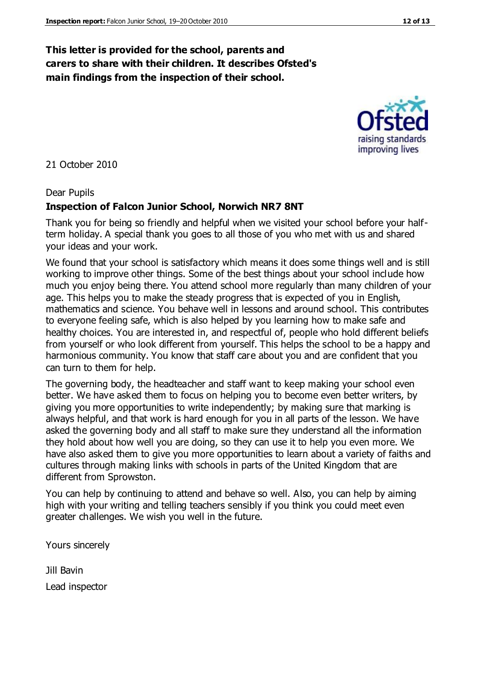#### **This letter is provided for the school, parents and carers to share with their children. It describes Ofsted's main findings from the inspection of their school.**

21 October 2010

#### Dear Pupils

#### **Inspection of Falcon Junior School, Norwich NR7 8NT**

Thank you for being so friendly and helpful when we visited your school before your halfterm holiday. A special thank you goes to all those of you who met with us and shared your ideas and your work.

We found that your school is satisfactory which means it does some things well and is still working to improve other things. Some of the best things about your school include how much you enjoy being there. You attend school more regularly than many children of your age. This helps you to make the steady progress that is expected of you in English, mathematics and science. You behave well in lessons and around school. This contributes to everyone feeling safe, which is also helped by you learning how to make safe and healthy choices. You are interested in, and respectful of, people who hold different beliefs from yourself or who look different from yourself. This helps the school to be a happy and harmonious community. You know that staff care about you and are confident that you can turn to them for help.

The governing body, the headteacher and staff want to keep making your school even better. We have asked them to focus on helping you to become even better writers, by giving you more opportunities to write independently; by making sure that marking is always helpful, and that work is hard enough for you in all parts of the lesson. We have asked the governing body and all staff to make sure they understand all the information they hold about how well you are doing, so they can use it to help you even more. We have also asked them to give you more opportunities to learn about a variety of faiths and cultures through making links with schools in parts of the United Kingdom that are different from Sprowston.

You can help by continuing to attend and behave so well. Also, you can help by aiming high with your writing and telling teachers sensibly if you think you could meet even greater challenges. We wish you well in the future.

Yours sincerely

Jill Bavin Lead inspector